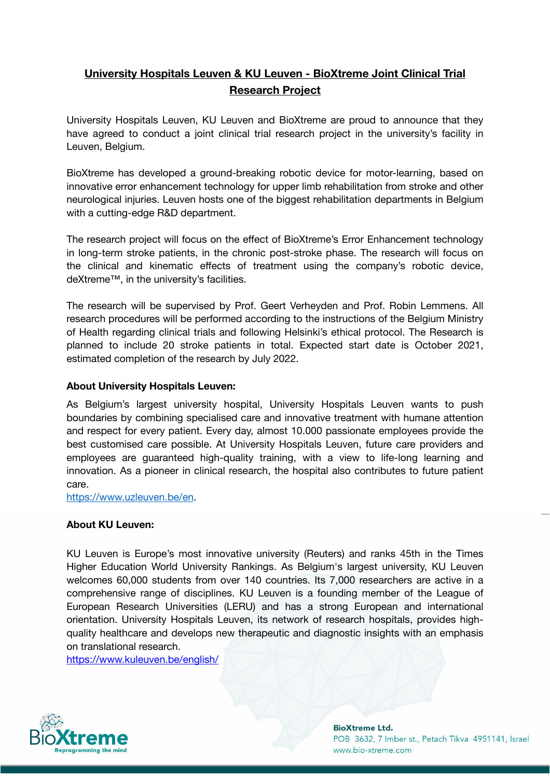## **University Hospitals Leuven & KU Leuven - BioXtreme Joint Clinical Trial Research Project**

University Hospitals Leuven, KU Leuven and BioXtreme are proud to announce that they have agreed to conduct a joint clinical trial research project in the university's facility in Leuven, Belgium.

BioXtreme has developed a ground-breaking robotic device for motor-learning, based on innovative error enhancement technology for upper limb rehabilitation from stroke and other neurological injuries. Leuven hosts one of the biggest rehabilitation departments in Belgium with a cutting-edge R&D department.

The research project will focus on the effect of BioXtreme's Error Enhancement technology in long-term stroke patients, in the chronic post-stroke phase. The research will focus on the clinical and kinematic effects of treatment using the company's robotic device, deXtreme™, in the university's facilities.

The research will be supervised by Prof. Geert Verheyden and Prof. Robin Lemmens. All research procedures will be performed according to the instructions of the Belgium Ministry of Health regarding clinical trials and following Helsinki's ethical protocol. The Research is planned to include 20 stroke patients in total. Expected start date is October 2021, estimated completion of the research by July 2022.

## **About University Hospitals Leuven:**

As Belgium's largest university hospital, University Hospitals Leuven wants to push boundaries by combining specialised care and innovative treatment with humane attention and respect for every patient. Every day, almost 10.000 passionate employees provide the best customised care possible. At University Hospitals Leuven, future care providers and employees are guaranteed high-quality training, with a view to life-long learning and innovation. As a pioneer in clinical research, the hospital also contributes to future patient care.

<https://www.uzleuven.be/en>.

## **About KU Leuven:**

KU Leuven is Europe's most innovative university (Reuters) and ranks 45th in the Times Higher Education World University Rankings. As Belgium's largest university, KU Leuven welcomes 60,000 students from over 140 countries. Its 7,000 researchers are active in a comprehensive range of disciplines. KU Leuven is a founding member of the League of European Research Universities (LERU) and has a strong European and international orientation. University Hospitals Leuven, its network of research hospitals, provides highquality healthcare and develops new therapeutic and diagnostic insights with an emphasis on translational research.

<https://www.kuleuven.be/english/>



**BioXtreme Ltd.** POB 3632, 7 Imber st., Petach Tikva 4951141, Israel www.bio-xtreme.com